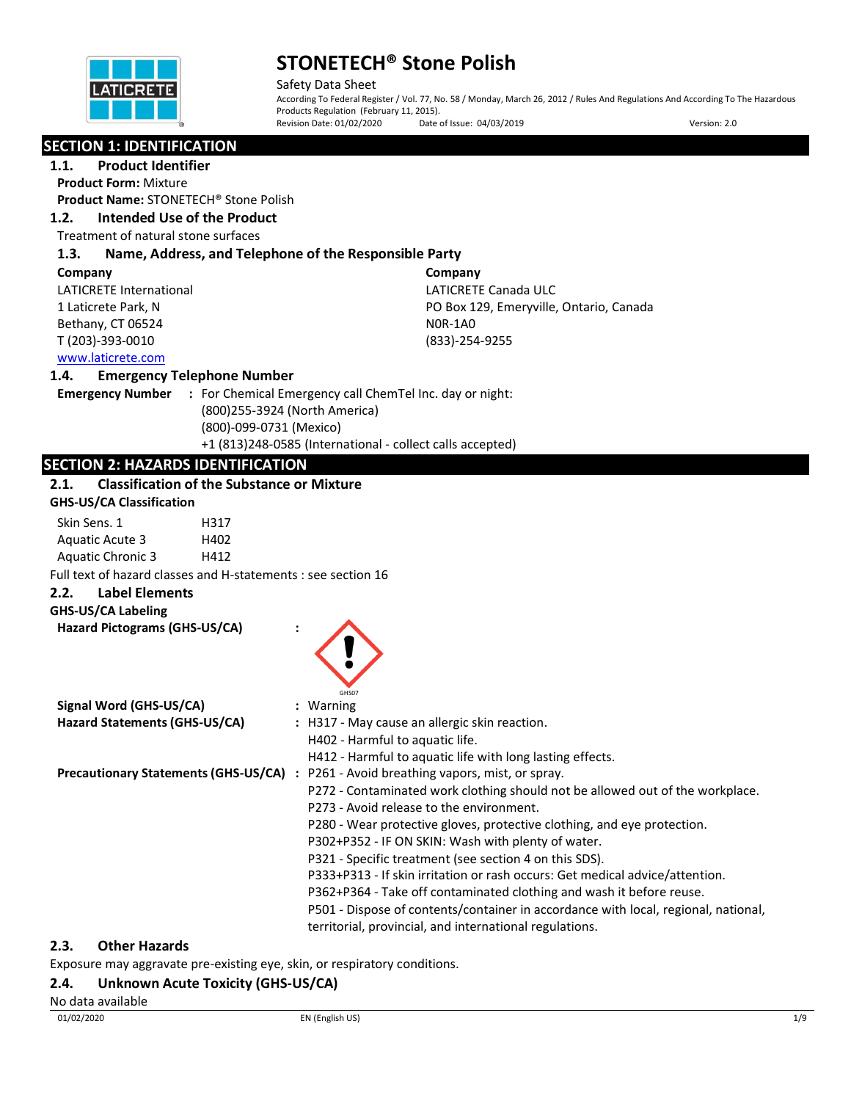

Safety Data Sheet According To Federal Register / Vol. 77, No. 58 / Monday, March 26, 2012 / Rules And Regulations And According To The Hazardous Products Regulation (February 11, 2015).<br>Revision Date: 01/02/2020 Date of Issue: 04/03/2019 Revision Date: 01/02/2020 Date of Issue: 04/03/2019 Version: 2.0

### **SECTION 1: IDENTIFICATION**

#### **1.1. Product Identifier**

**Product Form:** Mixture

## **Product Name:** STONETECH® Stone Polish

**1.2. Intended Use of the Product**

Treatment of natural stone surfaces

#### **1.3. Name, Address, and Telephone of the Responsible Party**

| Company                 | Company                                 |
|-------------------------|-----------------------------------------|
| LATICRETE International | LATICRETE Canada ULC                    |
| 1 Laticrete Park, N     | PO Box 129, Emeryville, Ontario, Canada |
| Bethany, CT 06524       | NOR-1AO                                 |
| T (203)-393-0010        | (833)-254-9255                          |
| www.laticrete.com       |                                         |

#### **1.4. Emergency Telephone Number**

**Emergency Number :** For Chemical Emergency call ChemTel Inc. day or night: (800)255-3924 (North America) (800)-099-0731 (Mexico) +1 (813)248-0585 (International - collect calls accepted)

### **SECTION 2: HAZARDS IDENTIFICATION**

## **2.1. Classification of the Substance or Mixture**

| Classification of the substance of Mixture<br><b>GHS-US/CA Classification</b> |                                                                                       |
|-------------------------------------------------------------------------------|---------------------------------------------------------------------------------------|
|                                                                               |                                                                                       |
| Skin Sens. 1<br>H317                                                          |                                                                                       |
| Aquatic Acute 3<br>H402                                                       |                                                                                       |
| <b>Aquatic Chronic 3</b><br>H412                                              |                                                                                       |
| Full text of hazard classes and H-statements : see section 16                 |                                                                                       |
| <b>Label Elements</b><br>2.2.                                                 |                                                                                       |
| GHS-US/CA Labeling                                                            |                                                                                       |
| Hazard Pictograms (GHS-US/CA)                                                 |                                                                                       |
|                                                                               |                                                                                       |
|                                                                               |                                                                                       |
|                                                                               |                                                                                       |
|                                                                               | GHS07                                                                                 |
| Signal Word (GHS-US/CA)                                                       | : Warning                                                                             |
| Hazard Statements (GHS-US/CA)                                                 | : H317 - May cause an allergic skin reaction.                                         |
|                                                                               | H402 - Harmful to aquatic life.                                                       |
|                                                                               | H412 - Harmful to aquatic life with long lasting effects.                             |
|                                                                               | Precautionary Statements (GHS-US/CA) : P261 - Avoid breathing vapors, mist, or spray. |
|                                                                               | P272 - Contaminated work clothing should not be allowed out of the workplace.         |
|                                                                               | P273 - Avoid release to the environment.                                              |
|                                                                               | P280 - Wear protective gloves, protective clothing, and eye protection.               |
|                                                                               | P302+P352 - IF ON SKIN: Wash with plenty of water.                                    |
|                                                                               | P321 - Specific treatment (see section 4 on this SDS).                                |
|                                                                               | P333+P313 - If skin irritation or rash occurs: Get medical advice/attention.          |
|                                                                               | P362+P364 - Take off contaminated clothing and wash it before reuse.                  |
|                                                                               | P501 - Dispose of contents/container in accordance with local, regional, national,    |
|                                                                               |                                                                                       |
|                                                                               | territorial, provincial, and international regulations.                               |

#### **2.3. Other Hazards**

Exposure may aggravate pre-existing eye, skin, or respiratory conditions.

#### **2.4. Unknown Acute Toxicity (GHS-US/CA)**

#### No data available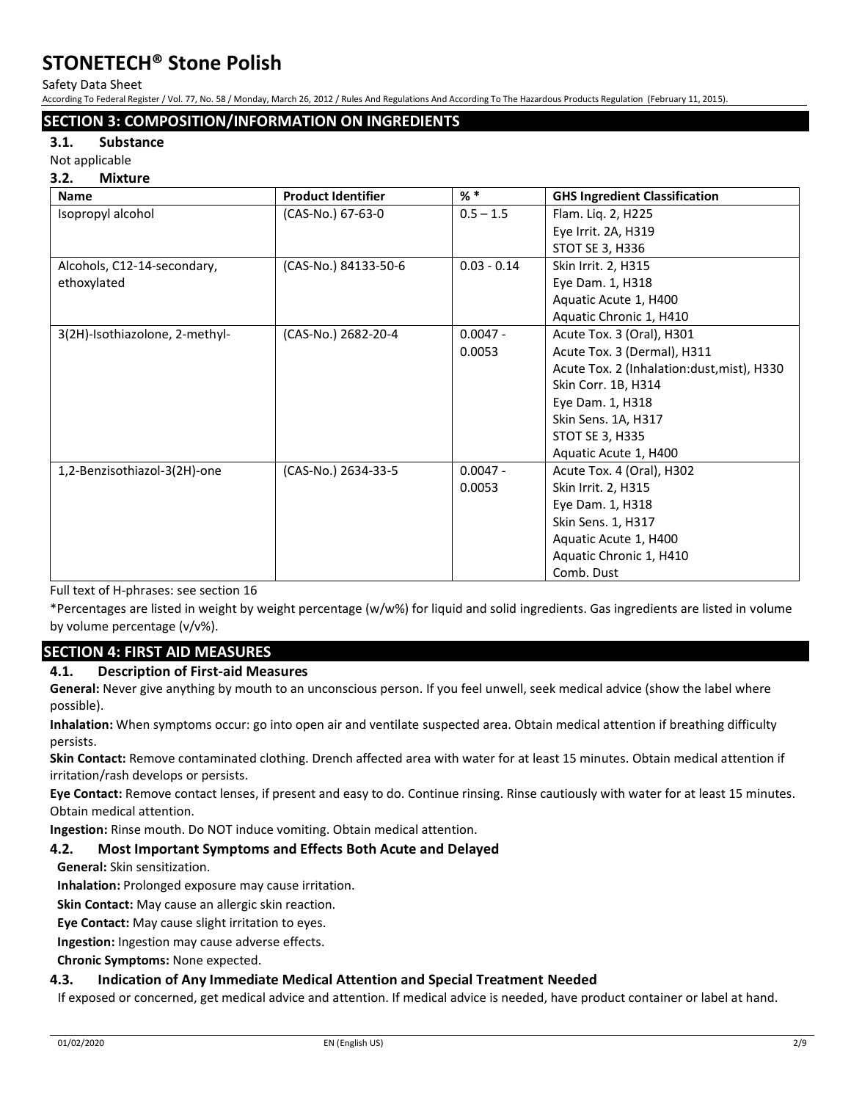Safety Data Sheet

According To Federal Register / Vol. 77, No. 58 / Monday, March 26, 2012 / Rules And Regulations And According To The Hazardous Products Regulation (February 11, 2015).

### **SECTION 3: COMPOSITION/INFORMATION ON INGREDIENTS**

#### **3.1. Substance**

Not applicable

#### **3.2. Mixture**

| <b>Name</b>                    | <b>Product Identifier</b> | $%$ $*$       | <b>GHS Ingredient Classification</b>        |
|--------------------------------|---------------------------|---------------|---------------------------------------------|
| Isopropyl alcohol              | (CAS-No.) 67-63-0         | $0.5 - 1.5$   | Flam. Liq. 2, H225                          |
|                                |                           |               | Eye Irrit. 2A, H319                         |
|                                |                           |               | STOT SE 3, H336                             |
| Alcohols, C12-14-secondary,    | (CAS-No.) 84133-50-6      | $0.03 - 0.14$ | Skin Irrit. 2, H315                         |
| ethoxylated                    |                           |               | Eye Dam. 1, H318                            |
|                                |                           |               | Aquatic Acute 1, H400                       |
|                                |                           |               | Aquatic Chronic 1, H410                     |
| 3(2H)-Isothiazolone, 2-methyl- | (CAS-No.) 2682-20-4       | $0.0047 -$    | Acute Tox. 3 (Oral), H301                   |
|                                |                           | 0.0053        | Acute Tox. 3 (Dermal), H311                 |
|                                |                           |               | Acute Tox. 2 (Inhalation: dust, mist), H330 |
|                                |                           |               | Skin Corr. 1B, H314                         |
|                                |                           |               | Eye Dam. 1, H318                            |
|                                |                           |               | Skin Sens. 1A, H317                         |
|                                |                           |               | <b>STOT SE 3, H335</b>                      |
|                                |                           |               | Aquatic Acute 1, H400                       |
| 1,2-Benzisothiazol-3(2H)-one   | (CAS-No.) 2634-33-5       | $0.0047 -$    | Acute Tox. 4 (Oral), H302                   |
|                                |                           | 0.0053        | Skin Irrit. 2, H315                         |
|                                |                           |               | Eye Dam. 1, H318                            |
|                                |                           |               | Skin Sens. 1, H317                          |
|                                |                           |               | Aquatic Acute 1, H400                       |
|                                |                           |               | Aquatic Chronic 1, H410                     |
|                                |                           |               | Comb. Dust                                  |

Full text of H-phrases: see section 16

\*Percentages are listed in weight by weight percentage (w/w%) for liquid and solid ingredients. Gas ingredients are listed in volume by volume percentage (v/v%).

#### **SECTION 4: FIRST AID MEASURES**

#### **4.1. Description of First-aid Measures**

**General:** Never give anything by mouth to an unconscious person. If you feel unwell, seek medical advice (show the label where possible).

**Inhalation:** When symptoms occur: go into open air and ventilate suspected area. Obtain medical attention if breathing difficulty persists.

**Skin Contact:** Remove contaminated clothing. Drench affected area with water for at least 15 minutes. Obtain medical attention if irritation/rash develops or persists.

**Eye Contact:** Remove contact lenses, if present and easy to do. Continue rinsing. Rinse cautiously with water for at least 15 minutes. Obtain medical attention.

**Ingestion:** Rinse mouth. Do NOT induce vomiting. Obtain medical attention.

#### **4.2. Most Important Symptoms and Effects Both Acute and Delayed**

**General:** Skin sensitization.

**Inhalation:** Prolonged exposure may cause irritation.

**Skin Contact:** May cause an allergic skin reaction.

**Eye Contact:** May cause slight irritation to eyes.

**Ingestion:** Ingestion may cause adverse effects.

**Chronic Symptoms:** None expected.

#### **4.3. Indication of Any Immediate Medical Attention and Special Treatment Needed**

If exposed or concerned, get medical advice and attention. If medical advice is needed, have product container or label at hand.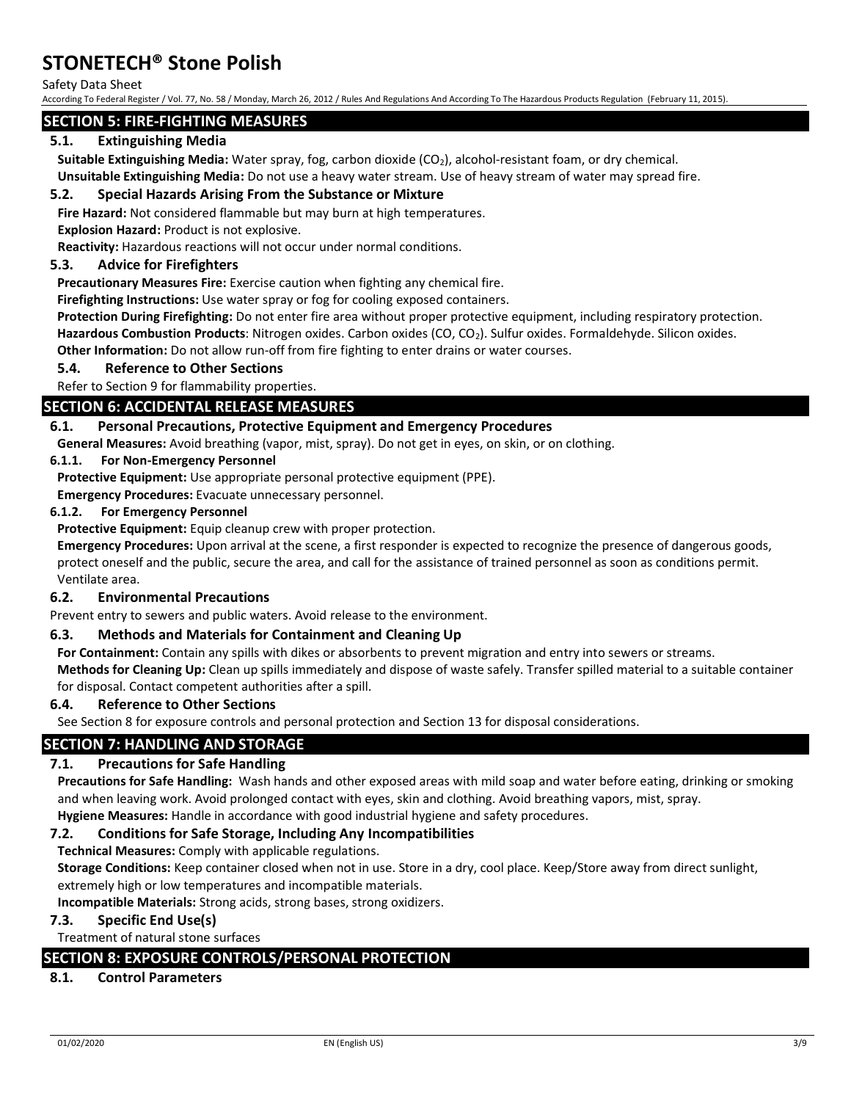Safety Data Sheet

According To Federal Register / Vol. 77, No. 58 / Monday, March 26, 2012 / Rules And Regulations And According To The Hazardous Products Regulation (February 11, 2015).

#### **SECTION 5: FIRE-FIGHTING MEASURES**

#### **5.1. Extinguishing Media**

**Suitable Extinguishing Media:** Water spray, fog, carbon dioxide (CO<sub>2</sub>), alcohol-resistant foam, or dry chemical.

**Unsuitable Extinguishing Media:** Do not use a heavy water stream. Use of heavy stream of water may spread fire.

#### **5.2. Special Hazards Arising From the Substance or Mixture**

**Fire Hazard:** Not considered flammable but may burn at high temperatures.

**Explosion Hazard:** Product is not explosive.

**Reactivity:** Hazardous reactions will not occur under normal conditions.

#### **5.3. Advice for Firefighters**

**Precautionary Measures Fire:** Exercise caution when fighting any chemical fire.

**Firefighting Instructions:** Use water spray or fog for cooling exposed containers.

**Protection During Firefighting:** Do not enter fire area without proper protective equipment, including respiratory protection. **Hazardous Combustion Products**: Nitrogen oxides. Carbon oxides (CO, CO2). Sulfur oxides. Formaldehyde. Silicon oxides. **Other Information:** Do not allow run-off from fire fighting to enter drains or water courses.

### **5.4. Reference to Other Sections**

Refer to Section 9 for flammability properties.

#### **SECTION 6: ACCIDENTAL RELEASE MEASURES**

#### **6.1. Personal Precautions, Protective Equipment and Emergency Procedures**

**General Measures:** Avoid breathing (vapor, mist, spray). Do not get in eyes, on skin, or on clothing.

#### **6.1.1. For Non-Emergency Personnel**

**Protective Equipment:** Use appropriate personal protective equipment (PPE).

**Emergency Procedures:** Evacuate unnecessary personnel.

#### **6.1.2. For Emergency Personnel**

**Protective Equipment:** Equip cleanup crew with proper protection.

**Emergency Procedures:** Upon arrival at the scene, a first responder is expected to recognize the presence of dangerous goods, protect oneself and the public, secure the area, and call for the assistance of trained personnel as soon as conditions permit. Ventilate area.

#### **6.2. Environmental Precautions**

Prevent entry to sewers and public waters. Avoid release to the environment.

#### **6.3. Methods and Materials for Containment and Cleaning Up**

**For Containment:** Contain any spills with dikes or absorbents to prevent migration and entry into sewers or streams.

**Methods for Cleaning Up:** Clean up spills immediately and dispose of waste safely. Transfer spilled material to a suitable container for disposal. Contact competent authorities after a spill.

#### **6.4. Reference to Other Sections**

See Section 8 for exposure controls and personal protection and Section 13 for disposal considerations.

#### **SECTION 7: HANDLING AND STORAGE**

#### **7.1. Precautions for Safe Handling**

**Precautions for Safe Handling:** Wash hands and other exposed areas with mild soap and water before eating, drinking or smoking and when leaving work. Avoid prolonged contact with eyes, skin and clothing. Avoid breathing vapors, mist, spray. **Hygiene Measures:** Handle in accordance with good industrial hygiene and safety procedures.

#### **7.2. Conditions for Safe Storage, Including Any Incompatibilities**

**Technical Measures:** Comply with applicable regulations.

**Storage Conditions:** Keep container closed when not in use. Store in a dry, cool place. Keep/Store away from direct sunlight, extremely high or low temperatures and incompatible materials.

**Incompatible Materials:** Strong acids, strong bases, strong oxidizers.

#### **7.3. Specific End Use(s)**

Treatment of natural stone surfaces

## **SECTION 8: EXPOSURE CONTROLS/PERSONAL PROTECTION**

### **8.1. Control Parameters**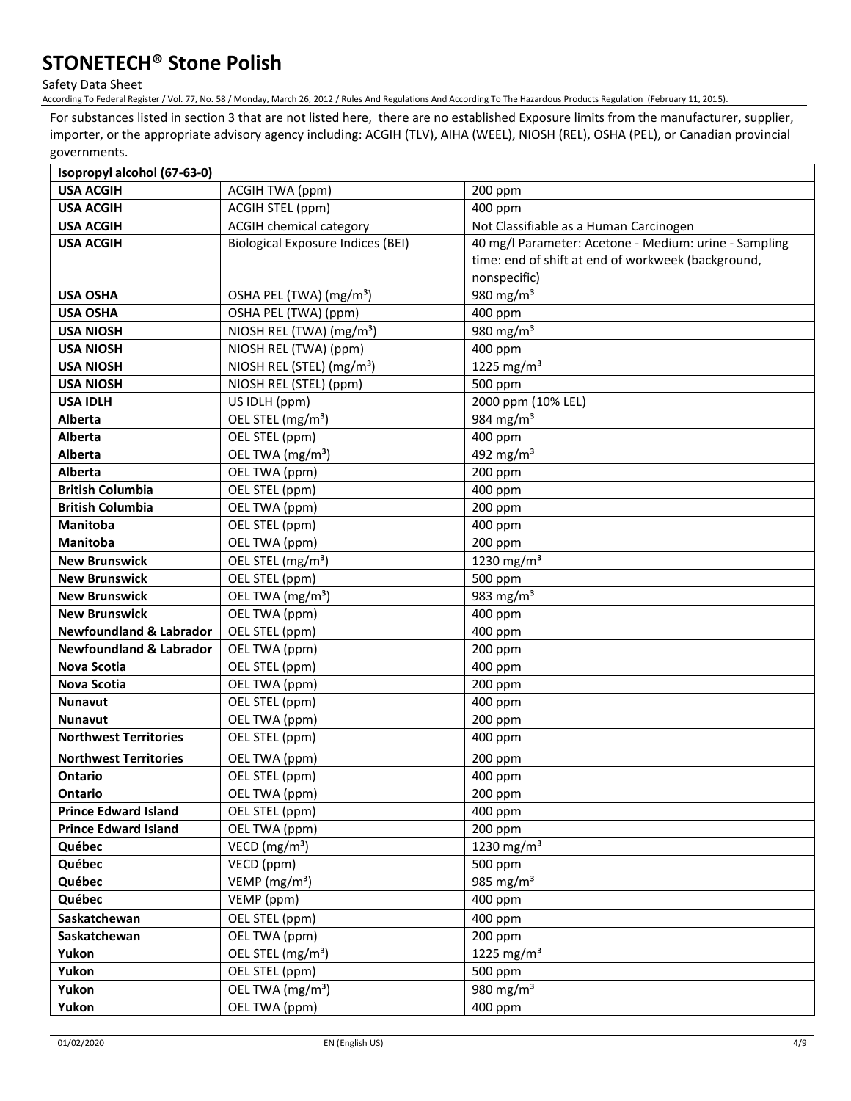Safety Data Sheet

According To Federal Register / Vol. 77, No. 58 / Monday, March 26, 2012 / Rules And Regulations And According To The Hazardous Products Regulation (February 11, 2015).

For substances listed in section 3 that are not listed here, there are no established Exposure limits from the manufacturer, supplier, importer, or the appropriate advisory agency including: ACGIH (TLV), AIHA (WEEL), NIOSH (REL), OSHA (PEL), or Canadian provincial governments.

| Isopropyl alcohol (67-63-0)                                |                                          |                                                       |
|------------------------------------------------------------|------------------------------------------|-------------------------------------------------------|
| <b>USA ACGIH</b>                                           | <b>ACGIH TWA (ppm)</b>                   | 200 ppm                                               |
| <b>USA ACGIH</b>                                           | ACGIH STEL (ppm)                         | 400 ppm                                               |
| <b>USA ACGIH</b>                                           | <b>ACGIH chemical category</b>           | Not Classifiable as a Human Carcinogen                |
| <b>USA ACGIH</b>                                           | <b>Biological Exposure Indices (BEI)</b> | 40 mg/l Parameter: Acetone - Medium: urine - Sampling |
|                                                            |                                          | time: end of shift at end of workweek (background,    |
|                                                            |                                          | nonspecific)                                          |
| <b>USA OSHA</b>                                            | OSHA PEL (TWA) (mg/m <sup>3</sup> )      | 980 mg/m <sup>3</sup>                                 |
| <b>USA OSHA</b>                                            | OSHA PEL (TWA) (ppm)                     | 400 ppm                                               |
| <b>USA NIOSH</b>                                           | NIOSH REL (TWA) (mg/m <sup>3</sup> )     | 980 mg/m $3$                                          |
| <b>USA NIOSH</b>                                           | NIOSH REL (TWA) (ppm)                    | 400 ppm                                               |
| <b>USA NIOSH</b>                                           | NIOSH REL (STEL) (mg/m <sup>3</sup> )    | 1225 mg/m <sup>3</sup>                                |
| <b>USA NIOSH</b>                                           | NIOSH REL (STEL) (ppm)                   | 500 ppm                                               |
| <b>USA IDLH</b>                                            | US IDLH (ppm)                            | 2000 ppm (10% LEL)                                    |
| <b>Alberta</b>                                             | OEL STEL (mg/m <sup>3</sup> )            | 984 mg/m <sup>3</sup>                                 |
| <b>Alberta</b>                                             | OEL STEL (ppm)                           | 400 ppm                                               |
| <b>Alberta</b>                                             | OEL TWA (mg/m <sup>3</sup> )             | 492 mg/m $3$                                          |
| Alberta                                                    | OEL TWA (ppm)                            | 200 ppm                                               |
| <b>British Columbia</b>                                    | OEL STEL (ppm)                           | 400 ppm                                               |
| <b>British Columbia</b>                                    | OEL TWA (ppm)                            | 200 ppm                                               |
| <b>Manitoba</b>                                            | OEL STEL (ppm)                           | 400 ppm                                               |
| <b>Manitoba</b>                                            | OEL TWA (ppm)                            | 200 ppm                                               |
| <b>New Brunswick</b>                                       | OEL STEL (mg/m <sup>3</sup> )            | 1230 mg/m <sup>3</sup>                                |
| <b>New Brunswick</b>                                       | OEL STEL (ppm)                           | 500 ppm                                               |
| <b>New Brunswick</b>                                       | OEL TWA (mg/m <sup>3</sup> )             | $\frac{1}{983}$ mg/m <sup>3</sup>                     |
| <b>New Brunswick</b>                                       | OEL TWA (ppm)                            | 400 ppm                                               |
| <b>Newfoundland &amp; Labrador</b>                         | OEL STEL (ppm)                           | 400 ppm                                               |
| <b>Newfoundland &amp; Labrador</b>                         | OEL TWA (ppm)                            | 200 ppm                                               |
| <b>Nova Scotia</b>                                         | OEL STEL (ppm)                           | 400 ppm                                               |
| <b>Nova Scotia</b><br><b>Nunavut</b>                       | OEL TWA (ppm)                            | 200 ppm                                               |
| <b>Nunavut</b>                                             | OEL STEL (ppm)<br>OEL TWA (ppm)          | 400 ppm<br>200 ppm                                    |
| <b>Northwest Territories</b>                               | OEL STEL (ppm)                           | 400 ppm                                               |
|                                                            |                                          |                                                       |
| <b>Northwest Territories</b>                               | OEL TWA (ppm)                            | 200 ppm                                               |
| Ontario<br><b>Ontario</b>                                  | OEL STEL (ppm)<br>OEL TWA (ppm)          | 400 ppm                                               |
|                                                            |                                          | 200 ppm                                               |
| <b>Prince Edward Island</b><br><b>Prince Edward Island</b> | OEL STEL (ppm)<br>OEL TWA (ppm)          | 400 ppm                                               |
| Québec                                                     | VECD (mg/m <sup>3</sup> )                | 200 ppm<br>1230 mg/m <sup>3</sup>                     |
| Québec                                                     | VECD (ppm)                               | 500 ppm                                               |
| Québec                                                     | VEMP (mg/m <sup>3</sup> )                | 985 mg/m $3$                                          |
| Québec                                                     | VEMP (ppm)                               | 400 ppm                                               |
|                                                            | OEL STEL (ppm)                           |                                                       |
| Saskatchewan                                               | OEL TWA (ppm)                            | 400 ppm<br>200 ppm                                    |
| Saskatchewan<br>Yukon                                      | OEL STEL (mg/m <sup>3</sup> )            | 1225 mg/m <sup>3</sup>                                |
| Yukon                                                      | OEL STEL (ppm)                           | 500 ppm                                               |
| Yukon                                                      | OEL TWA (mg/m <sup>3</sup> )             | 980 mg/m $3$                                          |
|                                                            | OEL TWA (ppm)                            |                                                       |
| Yukon                                                      |                                          | 400 ppm                                               |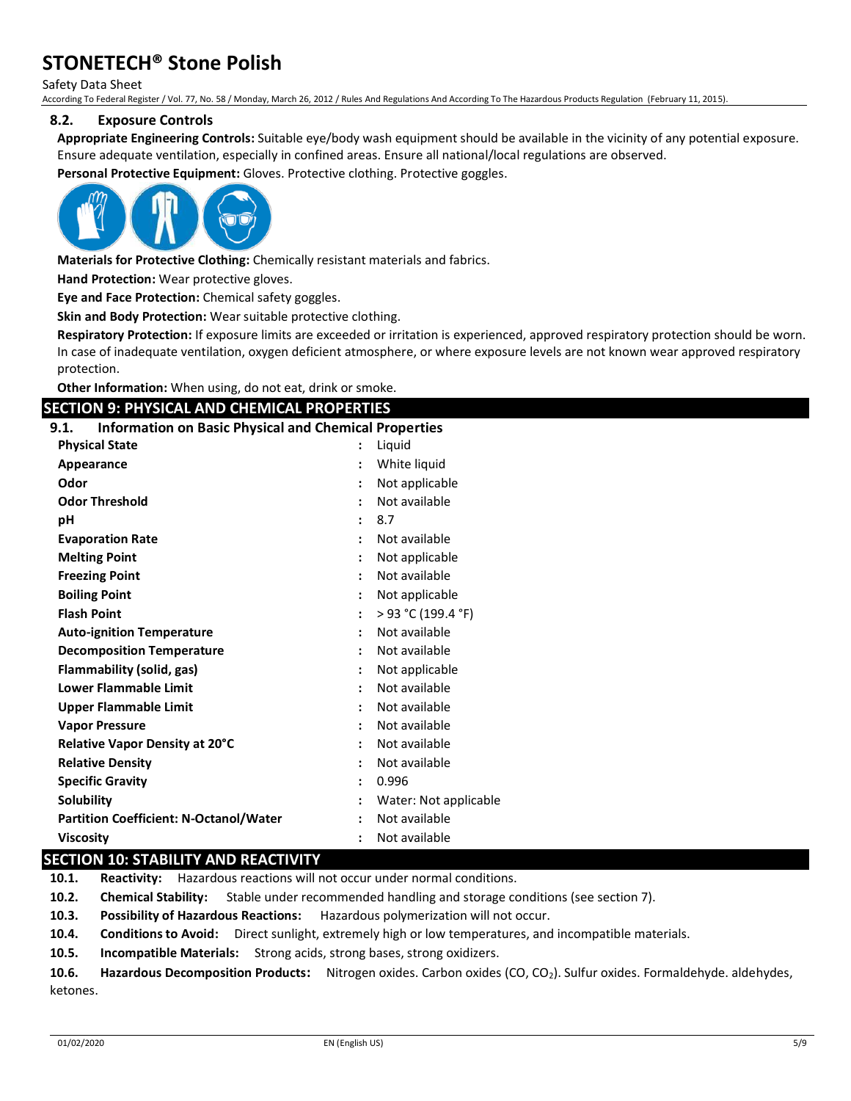Safety Data Sheet

According To Federal Register / Vol. 77, No. 58 / Monday, March 26, 2012 / Rules And Regulations And According To The Hazardous Products Regulation (February 11, 2015).

#### **8.2. Exposure Controls**

**Appropriate Engineering Controls:** Suitable eye/body wash equipment should be available in the vicinity of any potential exposure. Ensure adequate ventilation, especially in confined areas. Ensure all national/local regulations are observed.

**Personal Protective Equipment:** Gloves. Protective clothing. Protective goggles.



**Materials for Protective Clothing:** Chemically resistant materials and fabrics.

**Hand Protection:** Wear protective gloves.

**Eye and Face Protection:** Chemical safety goggles.

**Skin and Body Protection:** Wear suitable protective clothing.

**Respiratory Protection:** If exposure limits are exceeded or irritation is experienced, approved respiratory protection should be worn. In case of inadequate ventilation, oxygen deficient atmosphere, or where exposure levels are not known wear approved respiratory protection.

**Other Information:** When using, do not eat, drink or smoke.

#### **SECTION 9: PHYSICAL AND CHEMICAL PROPERTIES**

| <b>Information on Basic Physical and Chemical Properties</b><br>9.1. |                      |                       |
|----------------------------------------------------------------------|----------------------|-----------------------|
| <b>Physical State</b>                                                |                      | Liquid                |
| Appearance                                                           |                      | White liquid          |
| Odor                                                                 |                      | Not applicable        |
| <b>Odor Threshold</b>                                                |                      | Not available         |
| рH                                                                   | $\ddot{\phantom{a}}$ | 8.7                   |
| <b>Evaporation Rate</b>                                              |                      | Not available         |
| <b>Melting Point</b>                                                 |                      | Not applicable        |
| <b>Freezing Point</b>                                                |                      | Not available         |
| <b>Boiling Point</b>                                                 |                      | Not applicable        |
| <b>Flash Point</b>                                                   |                      | > 93 °C (199.4 °F)    |
| <b>Auto-ignition Temperature</b>                                     |                      | Not available         |
| <b>Decomposition Temperature</b>                                     |                      | Not available         |
| Flammability (solid, gas)                                            |                      | Not applicable        |
| <b>Lower Flammable Limit</b>                                         |                      | Not available         |
| <b>Upper Flammable Limit</b>                                         |                      | Not available         |
| <b>Vapor Pressure</b>                                                |                      | Not available         |
| Relative Vapor Density at 20°C                                       |                      | Not available         |
| <b>Relative Density</b>                                              |                      | Not available         |
| <b>Specific Gravity</b>                                              |                      | 0.996                 |
| Solubility                                                           |                      | Water: Not applicable |
| <b>Partition Coefficient: N-Octanol/Water</b>                        |                      | Not available         |
| <b>Viscosity</b>                                                     |                      | Not available         |

### **SECTION 10: STABILITY AND REACTIVITY**

**10.1. Reactivity:** Hazardous reactions will not occur under normal conditions.

**10.2. Chemical Stability:** Stable under recommended handling and storage conditions (see section 7).

**10.3. Possibility of Hazardous Reactions:** Hazardous polymerization will not occur.

**10.4. Conditions to Avoid:** Direct sunlight, extremely high or low temperatures, and incompatible materials.

**10.5. Incompatible Materials:** Strong acids, strong bases, strong oxidizers.

**10.6. Hazardous Decomposition Products:** Nitrogen oxides. Carbon oxides (CO, CO2). Sulfur oxides. Formaldehyde. aldehydes, ketones.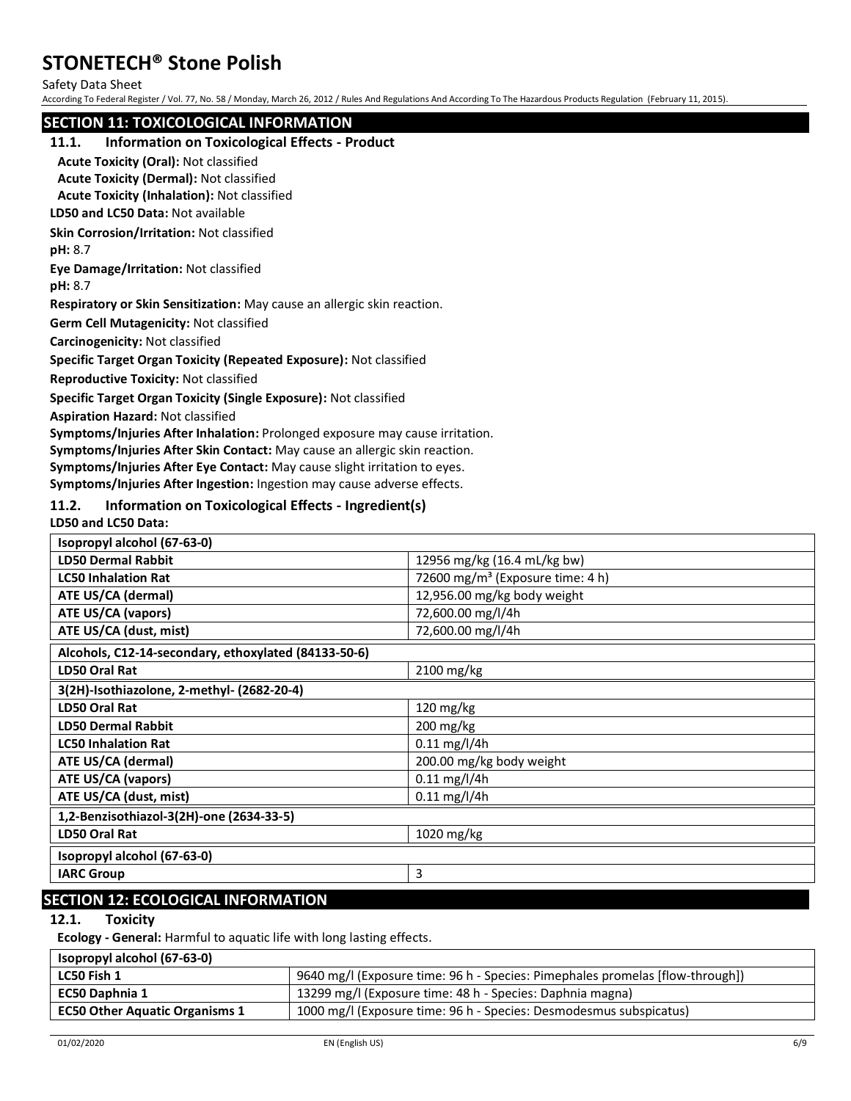Safety Data Sheet

According To Federal Register / Vol. 77, No. 58 / Monday, March 26, 2012 / Rules And Regulations And According To The Hazardous Products Regulation (February 11, 2015).

#### **SECTION 11: TOXICOLOGICAL INFORMATION**

#### **11.1. Information on Toxicological Effects - Product**

**Acute Toxicity (Oral):** Not classified

**Acute Toxicity (Dermal):** Not classified

**Acute Toxicity (Inhalation):** Not classified

**LD50 and LC50 Data:** Not available

**Skin Corrosion/Irritation:** Not classified

**pH:** 8.7

**Eye Damage/Irritation:** Not classified

**pH:** 8.7

**Respiratory or Skin Sensitization:** May cause an allergic skin reaction.

**Germ Cell Mutagenicity:** Not classified

**Carcinogenicity:** Not classified

**Specific Target Organ Toxicity (Repeated Exposure):** Not classified

**Reproductive Toxicity:** Not classified

**Specific Target Organ Toxicity (Single Exposure):** Not classified

**Aspiration Hazard:** Not classified

**Symptoms/Injuries After Inhalation:** Prolonged exposure may cause irritation.

**Symptoms/Injuries After Skin Contact:** May cause an allergic skin reaction.

**Symptoms/Injuries After Eye Contact:** May cause slight irritation to eyes.

**Symptoms/Injuries After Ingestion:** Ingestion may cause adverse effects.

#### **11.2. Information on Toxicological Effects - Ingredient(s)**

**LD50 and LC50 Data:**

| Isopropyl alcohol (67-63-0)                          |                                              |  |
|------------------------------------------------------|----------------------------------------------|--|
| <b>LD50 Dermal Rabbit</b>                            | 12956 mg/kg (16.4 mL/kg bw)                  |  |
| <b>LC50 Inhalation Rat</b>                           | 72600 mg/m <sup>3</sup> (Exposure time: 4 h) |  |
| ATE US/CA (dermal)                                   | 12,956.00 mg/kg body weight                  |  |
| <b>ATE US/CA (vapors)</b>                            | 72,600.00 mg/l/4h                            |  |
| ATE US/CA (dust, mist)                               | 72,600.00 mg/l/4h                            |  |
| Alcohols, C12-14-secondary, ethoxylated (84133-50-6) |                                              |  |
| LD50 Oral Rat                                        | 2100 mg/kg                                   |  |
| 3(2H)-Isothiazolone, 2-methyl- (2682-20-4)           |                                              |  |
| <b>LD50 Oral Rat</b>                                 | 120 mg/kg                                    |  |
| <b>LD50 Dermal Rabbit</b>                            | 200 mg/kg                                    |  |
| <b>LC50 Inhalation Rat</b>                           | $0.11$ mg/l/4h                               |  |
| ATE US/CA (dermal)                                   | 200.00 mg/kg body weight                     |  |
| ATE US/CA (vapors)                                   | $0.11$ mg/l/4h                               |  |
| ATE US/CA (dust, mist)                               | $0.11$ mg/l/4h                               |  |
| 1,2-Benzisothiazol-3(2H)-one (2634-33-5)             |                                              |  |
| LD50 Oral Rat                                        | 1020 mg/kg                                   |  |
| Isopropyl alcohol (67-63-0)                          |                                              |  |
| <b>IARC Group</b>                                    | 3                                            |  |
|                                                      |                                              |  |

## **SECTION 12: ECOLOGICAL INFORMATION**

### **12.1. Toxicity**

**Ecology - General:** Harmful to aquatic life with long lasting effects.

| Isopropyl alcohol (67-63-0)           |                                                                               |
|---------------------------------------|-------------------------------------------------------------------------------|
| LC50 Fish 1                           | 9640 mg/l (Exposure time: 96 h - Species: Pimephales promelas [flow-through]) |
| EC50 Daphnia 1                        | 13299 mg/l (Exposure time: 48 h - Species: Daphnia magna)                     |
| <b>EC50 Other Aquatic Organisms 1</b> | 1000 mg/l (Exposure time: 96 h - Species: Desmodesmus subspicatus)            |
|                                       |                                                                               |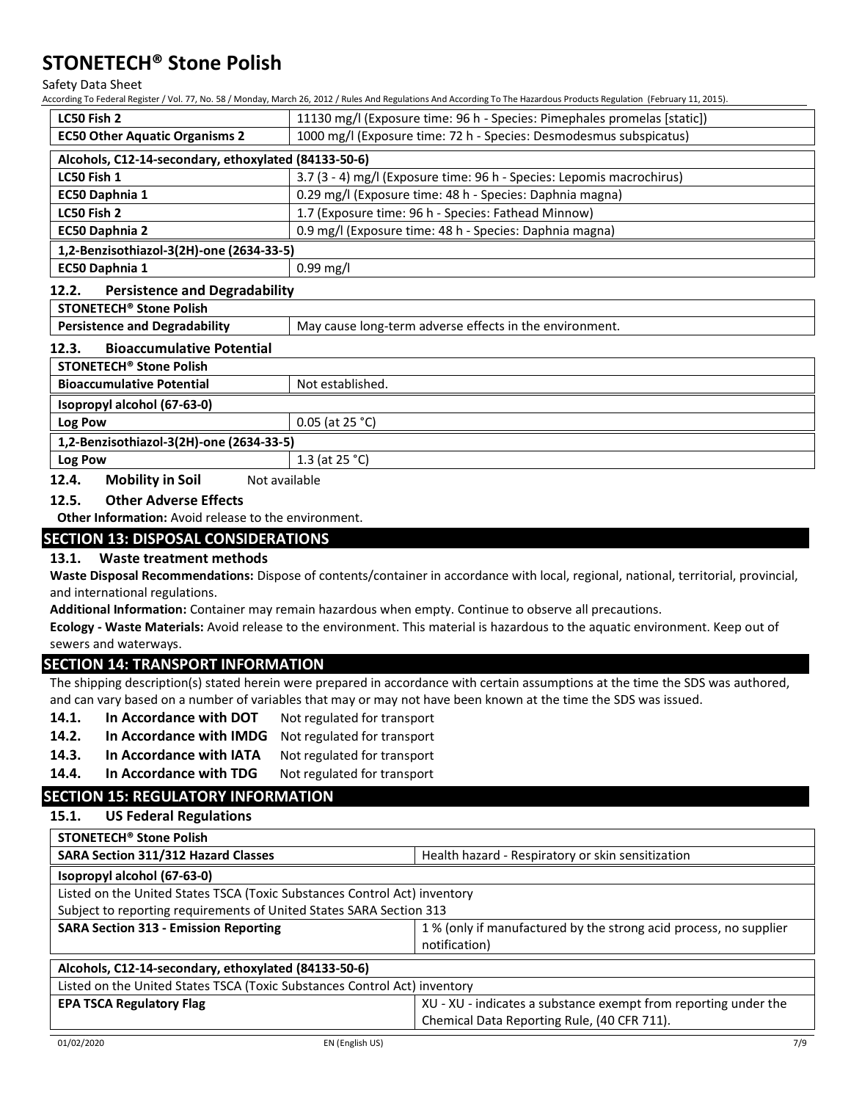Safety Data Sheet

According To Federal Register / Vol. 77, No. 58 / Monday, March 26, 2012 / Rules And Regulations And According To The Hazardous Products Regulation (February 11, 2015).

|                                                             | According To Federal Register / Vol. 77, No. 58 / Monday, March 26, 2012 / Rules And Regulations And According To The Hazardous Products Regulation  (February 11, 2015). |
|-------------------------------------------------------------|---------------------------------------------------------------------------------------------------------------------------------------------------------------------------|
| LC50 Fish 2                                                 | 11130 mg/l (Exposure time: 96 h - Species: Pimephales promelas [static])                                                                                                  |
| <b>EC50 Other Aquatic Organisms 2</b>                       | 1000 mg/l (Exposure time: 72 h - Species: Desmodesmus subspicatus)                                                                                                        |
| Alcohols, C12-14-secondary, ethoxylated (84133-50-6)        |                                                                                                                                                                           |
| LC50 Fish 1                                                 | 3.7 (3 - 4) mg/l (Exposure time: 96 h - Species: Lepomis macrochirus)                                                                                                     |
| EC50 Daphnia 1                                              | 0.29 mg/l (Exposure time: 48 h - Species: Daphnia magna)                                                                                                                  |
| LC50 Fish 2                                                 | 1.7 (Exposure time: 96 h - Species: Fathead Minnow)                                                                                                                       |
| <b>EC50 Daphnia 2</b>                                       | 0.9 mg/l (Exposure time: 48 h - Species: Daphnia magna)                                                                                                                   |
| 1,2-Benzisothiazol-3(2H)-one (2634-33-5)                    |                                                                                                                                                                           |
| EC50 Daphnia 1                                              | $0.99$ mg/l                                                                                                                                                               |
| 12.2.<br><b>Persistence and Degradability</b>               |                                                                                                                                                                           |
| <b>STONETECH<sup>®</sup> Stone Polish</b>                   |                                                                                                                                                                           |
| <b>Persistence and Degradability</b>                        | May cause long-term adverse effects in the environment.                                                                                                                   |
| 12.3.<br><b>Bioaccumulative Potential</b>                   |                                                                                                                                                                           |
| <b>STONETECH<sup>®</sup> Stone Polish</b>                   |                                                                                                                                                                           |
| <b>Bioaccumulative Potential</b>                            | Not established.                                                                                                                                                          |
| Isopropyl alcohol (67-63-0)                                 |                                                                                                                                                                           |
| Log Pow                                                     | $0.05$ (at 25 °C)                                                                                                                                                         |
| 1,2-Benzisothiazol-3(2H)-one (2634-33-5)                    |                                                                                                                                                                           |
| Log Pow                                                     | 1.3 (at 25 °C)                                                                                                                                                            |
| 12.4.<br><b>Mobility in Soil</b><br>Not available           |                                                                                                                                                                           |
| 12.5.<br><b>Other Adverse Effects</b>                       |                                                                                                                                                                           |
| <b>Other Information:</b> Avoid release to the environment. |                                                                                                                                                                           |
| <b>SECTION 13: DISPOSAL CONSIDERATIONS</b>                  |                                                                                                                                                                           |
| 13.1.<br><b>Waste treatment methods</b>                     |                                                                                                                                                                           |
|                                                             | Waste Disposal Recommendations: Dispose of contents/container in accordance with local, regional, national, territorial, provincial,                                      |
| and international regulations.                              |                                                                                                                                                                           |
|                                                             | Additional Information: Container may remain hazardous when empty. Continue to observe all precautions.                                                                   |
|                                                             | Ecology - Waste Materials: Avoid release to the environment. This material is hazardous to the aquatic environment. Keep out of                                           |
| sewers and waterways.                                       |                                                                                                                                                                           |
| <b>SECTION 14: TRANSPORT INFORMATION</b>                    |                                                                                                                                                                           |
|                                                             | The shipping description(s) stated herein were prepared in accordance with certain assumptions at the time the SDS was authored,                                          |
|                                                             | and can vary based on a number of variables that may or may not have been known at the time the SDS was issued.                                                           |
| 14.1.<br>In Accordance with DOT                             | Not regulated for transport                                                                                                                                               |
| 14.2.<br>In Accordance with IMDG                            | Not regulated for transport                                                                                                                                               |
| 14.3.<br>In Accordance with IATA                            | Not regulated for transport                                                                                                                                               |
| 14.4.<br>In Accordance with TDG                             | Not regulated for transport                                                                                                                                               |
| <b>SECTION 15: REGULATORY INFORMATION</b>                   |                                                                                                                                                                           |

**STONETECH® Stone Polish SARA Section 311/312 Hazard Classes** Health hazard - Respiratory or skin sensitization **Isopropyl alcohol (67-63-0)** Listed on the United States TSCA (Toxic Substances Control Act) inventory Subject to reporting requirements of United States SARA Section 313 **SARA Section 313 - Emission Reporting 2008** 1 % (only if manufactured by the strong acid process, no supplier notification) **Alcohols, C12-14-secondary, ethoxylated (84133-50-6)** Listed on the United States TSCA (Toxic Substances Control Act) inventory **EPA TSCA Regulatory Flag** XU - XU - XU - indicates a substance exempt from reporting under the Chemical Data Reporting Rule, (40 CFR 711).

**15.1. US Federal Regulations**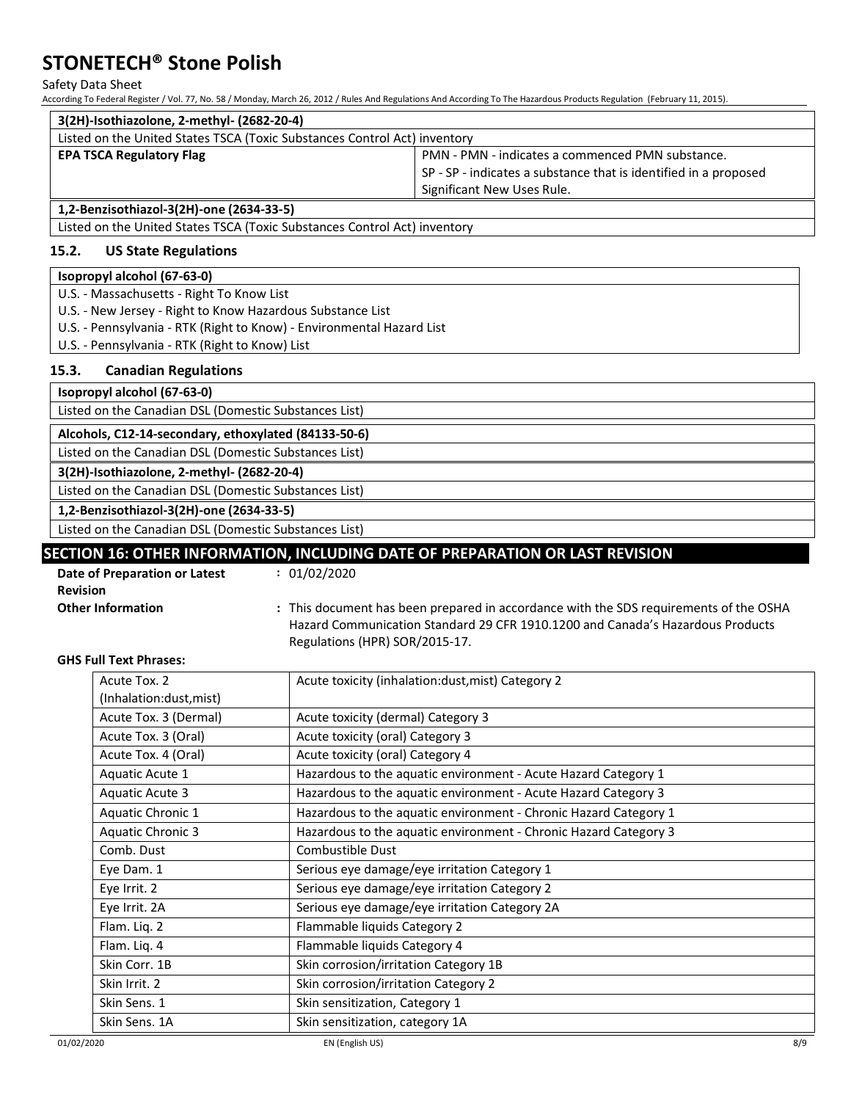Safety Data Sheet

According To Federal Register / Vol. 77, No. 58 / Monday, March 26, 2012 / Rules And Regulations And According To The Hazardous Products Regulation (February 11, 2015).

| 3(2H)-Isothiazolone, 2-methyl- (2682-20-4)                                |                                                                  |  |
|---------------------------------------------------------------------------|------------------------------------------------------------------|--|
| Listed on the United States TSCA (Toxic Substances Control Act) inventory |                                                                  |  |
| <b>EPA TSCA Regulatory Flag</b>                                           | PMN - PMN - indicates a commenced PMN substance.                 |  |
|                                                                           | SP - SP - indicates a substance that is identified in a proposed |  |
|                                                                           | Significant New Uses Rule.                                       |  |
| $1.2 \text{ R}$                                                           |                                                                  |  |

**1,2-Benzisothiazol-3(2H)-one (2634-33-5)**

Listed on the United States TSCA (Toxic Substances Control Act) inventory

#### **15.2. US State Regulations**

#### **Isopropyl alcohol (67-63-0)**

U.S. - Massachusetts - Right To Know List

- U.S. New Jersey Right to Know Hazardous Substance List
- U.S. Pennsylvania RTK (Right to Know) Environmental Hazard List
- U.S. Pennsylvania RTK (Right to Know) List

#### **15.3. Canadian Regulations**

**Isopropyl alcohol (67-63-0)**

Listed on the Canadian DSL (Domestic Substances List)

**Alcohols, C12-14-secondary, ethoxylated (84133-50-6)**

Listed on the Canadian DSL (Domestic Substances List)

**3(2H)-Isothiazolone, 2-methyl- (2682-20-4)**

Listed on the Canadian DSL (Domestic Substances List)

**1,2-Benzisothiazol-3(2H)-one (2634-33-5)**

Listed on the Canadian DSL (Domestic Substances List)

### **SECTION 16: OTHER INFORMATION, INCLUDING DATE OF PREPARATION OR LAST REVISION**

**:** 01/02/2020

| <b>Date of Preparation or Latest</b> |  |
|--------------------------------------|--|
| Revision                             |  |
| <b>Other Information</b>             |  |

**Other Information :** This document has been prepared in accordance with the SDS requirements of the OSHA Hazard Communication Standard 29 CFR 1910.1200 and Canada's Hazardous Products Regulations (HPR) SOR/2015-17.

#### **GHS Full Text Phrases:**

| Acute Tox. 2             | Acute toxicity (inhalation:dust, mist) Category 2                |
|--------------------------|------------------------------------------------------------------|
| (Inhalation:dust, mist)  |                                                                  |
| Acute Tox. 3 (Dermal)    | Acute toxicity (dermal) Category 3                               |
| Acute Tox. 3 (Oral)      | Acute toxicity (oral) Category 3                                 |
| Acute Tox. 4 (Oral)      | Acute toxicity (oral) Category 4                                 |
| Aquatic Acute 1          | Hazardous to the aquatic environment - Acute Hazard Category 1   |
| Aquatic Acute 3          | Hazardous to the aquatic environment - Acute Hazard Category 3   |
| Aquatic Chronic 1        | Hazardous to the aquatic environment - Chronic Hazard Category 1 |
| <b>Aquatic Chronic 3</b> | Hazardous to the aquatic environment - Chronic Hazard Category 3 |
| Comb. Dust               | Combustible Dust                                                 |
| Eye Dam. 1               | Serious eye damage/eye irritation Category 1                     |
| Eye Irrit. 2             | Serious eye damage/eye irritation Category 2                     |
| Eye Irrit. 2A            | Serious eye damage/eye irritation Category 2A                    |
| Flam. Liq. 2             | Flammable liquids Category 2                                     |
| Flam. Liq. 4             | Flammable liquids Category 4                                     |
| Skin Corr. 1B            | Skin corrosion/irritation Category 1B                            |
| Skin Irrit. 2            | Skin corrosion/irritation Category 2                             |
| Skin Sens. 1             | Skin sensitization, Category 1                                   |
| Skin Sens. 1A            | Skin sensitization, category 1A                                  |